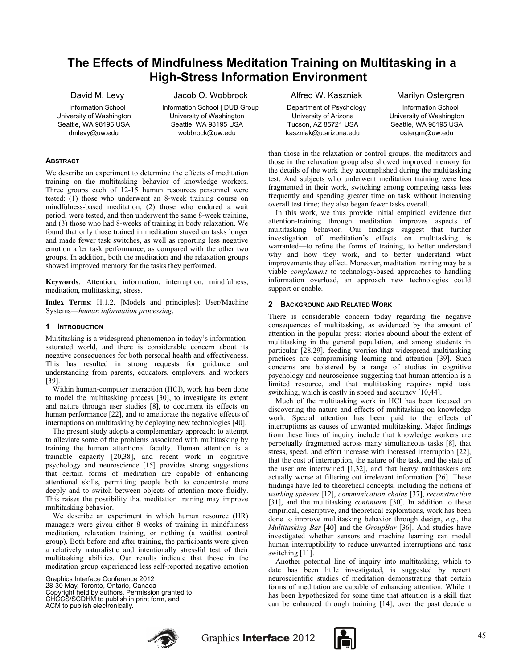# **The Effects of Mindfulness Meditation Training on Multitasking in a High-Stress Information Environment**

David M. Levy

Information School University of Washington Seattle, WA 98195 USA dmlevy@uw.edu

Jacob O. Wobbrock Information School | DUB Group University of Washington Seattle, WA 98195 USA wobbrock@uw.edu

#### **ABSTRACT**

We describe an experiment to determine the effects of meditation training on the multitasking behavior of knowledge workers. Three groups each of 12-15 human resources personnel were tested: (1) those who underwent an 8-week training course on mindfulness-based meditation, (2) those who endured a wait period, were tested, and then underwent the same 8-week training, and (3) those who had 8-weeks of training in body relaxation. We found that only those trained in meditation stayed on tasks longer and made fewer task switches, as well as reporting less negative emotion after task performance, as compared with the other two groups. In addition, both the meditation and the relaxation groups showed improved memory for the tasks they performed.

**Keywords**: Attention, information, interruption, mindfulness, meditation, multitasking, stress.

**Index Terms**: H.1.2. [Models and principles]: User/Machine Systems—*human information processing*.

#### **1 INTRODUCTION**

Multitasking is a widespread phenomenon in today's informationsaturated world, and there is considerable concern about its negative consequences for both personal health and effectiveness. This has resulted in strong requests for guidance and understanding from parents, educators, employers, and workers [39].

Within human-computer interaction (HCI), work has been done to model the multitasking process [30], to investigate its extent and nature through user studies [8], to document its effects on human performance [22], and to ameliorate the negative effects of interruptions on multitasking by deploying new technologies [40].

The present study adopts a complementary approach: to attempt to alleviate some of the problems associated with multitasking by training the human attentional faculty. Human attention is a trainable capacity [20,38], and recent work in cognitive psychology and neuroscience [15] provides strong suggestions that certain forms of meditation are capable of enhancing attentional skills, permitting people both to concentrate more deeply and to switch between objects of attention more fluidly. This raises the possibility that meditation training may improve multitasking behavior.

We describe an experiment in which human resource (HR) managers were given either 8 weeks of training in mindfulness meditation, relaxation training, or nothing (a waitlist control group). Both before and after training, the participants were given a relatively naturalistic and intentionally stressful test of their multitasking abilities. Our results indicate that those in the meditation group experienced less self-reported negative emotion

Graphics Interface Conference 2012 28-30 May, Toronto, Ontario, Canada Copyright held by authors. Permission granted to CHCCS/SCDHM to publish in print form, and ACM to publish electronically.

Alfred W. Kaszniak

Department of Psychology University of Arizona Tucson, AZ 85721 USA kaszniak@u.arizona.edu

Marilyn Ostergren

Information School University of Washington Seattle, WA 98195 USA ostergrn@uw.edu

than those in the relaxation or control groups; the meditators and those in the relaxation group also showed improved memory for the details of the work they accomplished during the multitasking test. And subjects who underwent meditation training were less fragmented in their work, switching among competing tasks less frequently and spending greater time on task without increasing overall test time; they also began fewer tasks overall.

In this work, we thus provide initial empirical evidence that attention-training through meditation improves aspects of multitasking behavior. Our findings suggest that further investigation of meditation's effects on multitasking is warranted—to refine the forms of training, to better understand why and how they work, and to better understand what improvements they effect. Moreover, meditation training may be a viable *complement* to technology-based approaches to handling information overload, an approach new technologies could support or enable.

# **2 BACKGROUND AND RELATED WORK**

There is considerable concern today regarding the negative consequences of multitasking, as evidenced by the amount of attention in the popular press: stories abound about the extent of multitasking in the general population, and among students in particular [28,29], feeding worries that widespread multitasking practices are compromising learning and attention [39]. Such concerns are bolstered by a range of studies in cognitive psychology and neuroscience suggesting that human attention is a limited resource, and that multitasking requires rapid task switching, which is costly in speed and accuracy [10,44].

Much of the multitasking work in HCI has been focused on discovering the nature and effects of multitasking on knowledge work. Special attention has been paid to the effects of interruptions as causes of unwanted multitasking. Major findings from these lines of inquiry include that knowledge workers are perpetually fragmented across many simultaneous tasks [8], that stress, speed, and effort increase with increased interruption [22], that the cost of interruption, the nature of the task, and the state of the user are intertwined [1,32], and that heavy multitaskers are actually worse at filtering out irrelevant information [26]. These findings have led to theoretical concepts, including the notions of *working spheres* [12], *communication chains* [37], *reconstruction* [31], and the multitasking *continuum* [30]. In addition to these empirical, descriptive, and theoretical explorations, work has been done to improve multitasking behavior through design, *e.g.*, the *Multitasking Bar* [40] and the *GroupBar* [36]. And studies have investigated whether sensors and machine learning can model human interruptibility to reduce unwanted interruptions and task switching [11].

Another potential line of inquiry into multitasking, which to date has been little investigated, is suggested by recent neuroscientific studies of meditation demonstrating that certain forms of meditation are capable of enhancing attention. While it has been hypothesized for some time that attention is a skill that can be enhanced through training [14], over the past decade a



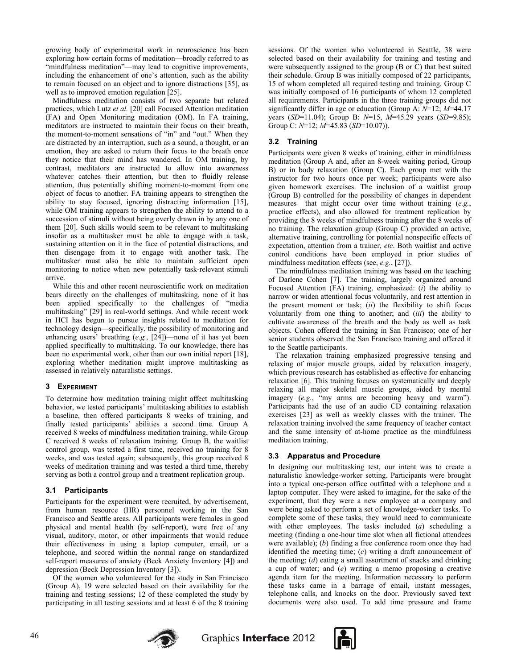growing body of experimental work in neuroscience has been exploring how certain forms of meditation—broadly referred to as "mindfulness meditation"—may lead to cognitive improvements, including the enhancement of one's attention, such as the ability to remain focused on an object and to ignore distractions [35], as well as to improved emotion regulation [25].

Mindfulness meditation consists of two separate but related practices, which Lutz *et al.* [20] call Focused Attention meditation (FA) and Open Monitoring meditation (OM). In FA training, meditators are instructed to maintain their focus on their breath, the moment-to-moment sensations of "in" and "out." When they are distracted by an interruption, such as a sound, a thought, or an emotion, they are asked to return their focus to the breath once they notice that their mind has wandered. In OM training, by contrast, meditators are instructed to allow into awareness whatever catches their attention, but then to fluidly release attention, thus potentially shifting moment-to-moment from one object of focus to another. FA training appears to strengthen the ability to stay focused, ignoring distracting information [15], while OM training appears to strengthen the ability to attend to a succession of stimuli without being overly drawn in by any one of them [20]. Such skills would seem to be relevant to multitasking insofar as a multitasker must be able to engage with a task, sustaining attention on it in the face of potential distractions, and then disengage from it to engage with another task. The multitasker must also be able to maintain sufficient open monitoring to notice when new potentially task-relevant stimuli arrive.

While this and other recent neuroscientific work on meditation bears directly on the challenges of multitasking, none of it has been applied specifically to the challenges of "media multitasking" [29] in real-world settings. And while recent work in HCI has begun to pursue insights related to meditation for technology design—specifically, the possibility of monitoring and enhancing users' breathing (*e.g.*, [24])—none of it has yet been applied specifically to multitasking. To our knowledge, there has been no experimental work, other than our own initial report [18], exploring whether meditation might improve multitasking as assessed in relatively naturalistic settings.

# **3 EXPERIMENT**

To determine how meditation training might affect multitasking behavior, we tested participants' multitasking abilities to establish a baseline, then offered participants 8 weeks of training, and finally tested participants' abilities a second time. Group A received 8 weeks of mindfulness meditation training, while Group C received 8 weeks of relaxation training. Group B, the waitlist control group, was tested a first time, received no training for 8 weeks, and was tested again; subsequently, this group received 8 weeks of meditation training and was tested a third time, thereby serving as both a control group and a treatment replication group.

# **3.1 Participants**

Participants for the experiment were recruited, by advertisement, from human resource (HR) personnel working in the San Francisco and Seattle areas. All participants were females in good physical and mental health (by self-report), were free of any visual, auditory, motor, or other impairments that would reduce their effectiveness in using a laptop computer, email, or a telephone, and scored within the normal range on standardized self-report measures of anxiety (Beck Anxiety Inventory [4]) and depression (Beck Depression Inventory [3]).

Of the women who volunteered for the study in San Francisco (Group A), 19 were selected based on their availability for the training and testing sessions; 12 of these completed the study by participating in all testing sessions and at least 6 of the 8 training sessions. Of the women who volunteered in Seattle, 38 were selected based on their availability for training and testing and were subsequently assigned to the group (B or C) that best suited their schedule. Group B was initially composed of 22 participants, 15 of whom completed all required testing and training. Group C was initially composed of 16 participants of whom 12 completed all requirements. Participants in the three training groups did not significantly differ in age or education (Group A: *N*=12; *M*=44.17 years (*SD*=11.04); Group B: *N*=15, *M*=45.29 years (*SD*=9.85); Group C: *N*=12; *M*=45.83 (*SD*=10.07)).

# **3.2 Training**

Participants were given 8 weeks of training, either in mindfulness meditation (Group A and, after an 8-week waiting period, Group B) or in body relaxation (Group C). Each group met with the instructor for two hours once per week; participants were also given homework exercises. The inclusion of a waitlist group (Group B) controlled for the possibility of changes in dependent measures that might occur over time without training (*e.g.*, practice effects), and also allowed for treatment replication by providing the 8 weeks of mindfulness training after the 8 weeks of no training. The relaxation group (Group C) provided an active, alternative training, controlling for potential nonspecific effects of expectation, attention from a trainer, *etc*. Both waitlist and active control conditions have been employed in prior studies of mindfulness meditation effects (see, *e.g.*, [27]).

The mindfulness meditation training was based on the teaching of Darlene Cohen [7]. The training, largely organized around Focused Attention (FA) training, emphasized: (*i*) the ability to narrow or widen attentional focus voluntarily, and rest attention in the present moment or task; (*ii*) the flexibility to shift focus voluntarily from one thing to another; and (*iii*) the ability to cultivate awareness of the breath and the body as well as task objects. Cohen offered the training in San Francisco; one of her senior students observed the San Francisco training and offered it to the Seattle participants.

The relaxation training emphasized progressive tensing and relaxing of major muscle groups, aided by relaxation imagery, which previous research has established as effective for enhancing relaxation [6]. This training focuses on systematically and deeply relaxing all major skeletal muscle groups, aided by mental imagery (*e.g.*, "my arms are becoming heavy and warm"). Participants had the use of an audio CD containing relaxation exercises [23] as well as weekly classes with the trainer. The relaxation training involved the same frequency of teacher contact and the same intensity of at-home practice as the mindfulness meditation training.

# **3.3 Apparatus and Procedure**

In designing our multitasking test, our intent was to create a naturalistic knowledge-worker setting. Participants were brought into a typical one-person office outfitted with a telephone and a laptop computer. They were asked to imagine, for the sake of the experiment, that they were a new employee at a company and were being asked to perform a set of knowledge-worker tasks. To complete some of these tasks, they would need to communicate with other employees. The tasks included (*a*) scheduling a meeting (finding a one-hour time slot when all fictional attendees were available); (*b*) finding a free conference room once they had identified the meeting time; (*c*) writing a draft announcement of the meeting; (*d*) eating a small assortment of snacks and drinking a cup of water; and (*e*) writing a memo proposing a creative agenda item for the meeting. Information necessary to perform these tasks came in a barrage of email, instant messages, telephone calls, and knocks on the door. Previously saved text documents were also used. To add time pressure and frame



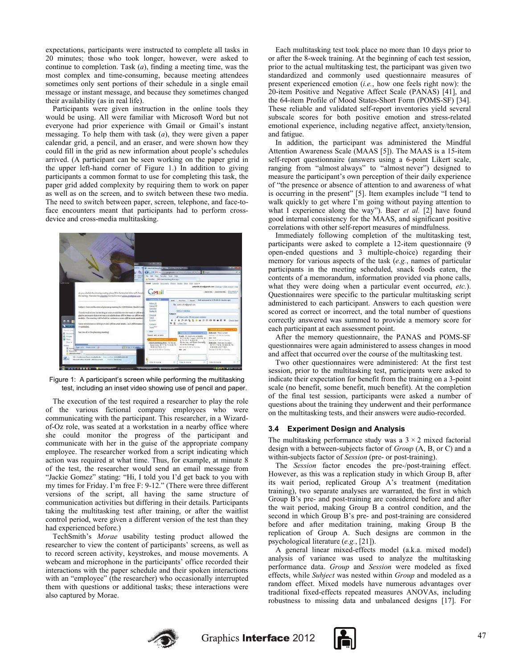expectations, participants were instructed to complete all tasks in 20 minutes; those who took longer, however, were asked to continue to completion. Task (*a*), finding a meeting time, was the most complex and time-consuming, because meeting attendees sometimes only sent portions of their schedule in a single email message or instant message, and because they sometimes changed their availability (as in real life).

Participants were given instruction in the online tools they would be using. All were familiar with Microsoft Word but not everyone had prior experience with Gmail or Gmail's instant messaging. To help them with task (*a*), they were given a paper calendar grid, a pencil, and an eraser, and were shown how they could fill in the grid as new information about people's schedules arrived. (A participant can be seen working on the paper grid in the upper left-hand corner of Figure 1.) In addition to giving participants a common format to use for completing this task, the paper grid added complexity by requiring them to work on paper as well as on the screen, and to switch between these two media. The need to switch between paper, screen, telephone, and face-toface encounters meant that participants had to perform crossdevice and cross-media multitasking.



Figure 1: A participant's screen while performing the multitasking test, including an inset video showing use of pencil and paper.

The execution of the test required a researcher to play the role of the various fictional company employees who were communicating with the participant. This researcher, in a Wizardof-Oz role, was seated at a workstation in a nearby office where she could monitor the progress of the participant and communicate with her in the guise of the appropriate company employee. The researcher worked from a script indicating which action was required at what time. Thus, for example, at minute 8 of the test, the researcher would send an email message from "Jackie Gomez" stating: "Hi, I told you I'd get back to you with my times for Friday. I'm free F: 9-12." (There were three different versions of the script, all having the same structure of communication activities but differing in their details. Participants taking the multitasking test after training, or after the waitlist control period, were given a different version of the test than they had experienced before.)

TechSmith's *Morae* usability testing product allowed the researcher to view the content of participants' screens, as well as to record screen activity, keystrokes, and mouse movements. A webcam and microphone in the participants' office recorded their interactions with the paper schedule and their spoken interactions with an "employee" (the researcher) who occasionally interrupted them with questions or additional tasks; these interactions were also captured by Morae.

Each multitasking test took place no more than 10 days prior to or after the 8-week training. At the beginning of each test session, prior to the actual multitasking test, the participant was given two standardized and commonly used questionnaire measures of present experienced emotion (*i.e.*, how one feels right now): the 20-item Positive and Negative Affect Scale (PANAS) [41], and the 64-item Profile of Mood States-Short Form (POMS-SF) [34]. These reliable and validated self-report inventories yield several subscale scores for both positive emotion and stress-related emotional experience, including negative affect, anxiety/tension, and fatigue.

In addition, the participant was administered the Mindful Attention Awareness Scale (MAAS [5]). The MAAS is a 15-item self-report questionnaire (answers using a 6-point Likert scale, ranging from "almost always" to "almost never") designed to measure the participant's own perception of their daily experience of "the presence or absence of attention to and awareness of what is occurring in the present" [5]. Item examples include "I tend to walk quickly to get where I'm going without paying attention to what I experience along the way"). Baer *et al.* [2] have found good internal consistency for the MAAS, and significant positive correlations with other self-report measures of mindfulness.

Immediately following completion of the multitasking test, participants were asked to complete a 12-item questionnaire (9 open-ended questions and 3 multiple-choice) regarding their memory for various aspects of the task (*e.g.*, names of particular participants in the meeting scheduled, snack foods eaten, the contents of a memorandum, information provided via phone calls, what they were doing when a particular event occurred, *etc.*). Questionnaires were specific to the particular multitasking script administered to each participant. Answers to each question were scored as correct or incorrect, and the total number of questions correctly answered was summed to provide a memory score for each participant at each assessment point.

After the memory questionnaire, the PANAS and POMS-SF questionnaires were again administered to assess changes in mood and affect that occurred over the course of the multitasking test.

Two other questionnaires were administered: At the first test session, prior to the multitasking test, participants were asked to indicate their expectation for benefit from the training on a 3-point scale (no benefit, some benefit, much benefit). At the completion of the final test session, participants were asked a number of questions about the training they underwent and their performance on the multitasking tests, and their answers were audio-recorded.

#### **3.4 Experiment Design and Analysis**

The multitasking performance study was a  $3 \times 2$  mixed factorial design with a between-subjects factor of *Group* (A, B, or C) and a within-subjects factor of *Session* (pre- or post-training).

The *Session* factor encodes the pre-/post-training effect. However, as this was a replication study in which Group B, after its wait period, replicated Group A's treatment (meditation training), two separate analyses are warranted, the first in which Group B's pre- and post-training are considered before and after the wait period, making Group B a control condition, and the second in which Group B's pre- and post-training are considered before and after meditation training, making Group B the replication of Group A. Such designs are common in the psychological literature (*e.g.*, [21]).

A general linear mixed-effects model (a.k.a. mixed model) analysis of variance was used to analyze the multitasking performance data. *Group* and *Session* were modeled as fixed effects, while *Subject* was nested within *Group* and modeled as a random effect. Mixed models have numerous advantages over traditional fixed-effects repeated measures ANOVAs, including robustness to missing data and unbalanced designs [17]. For



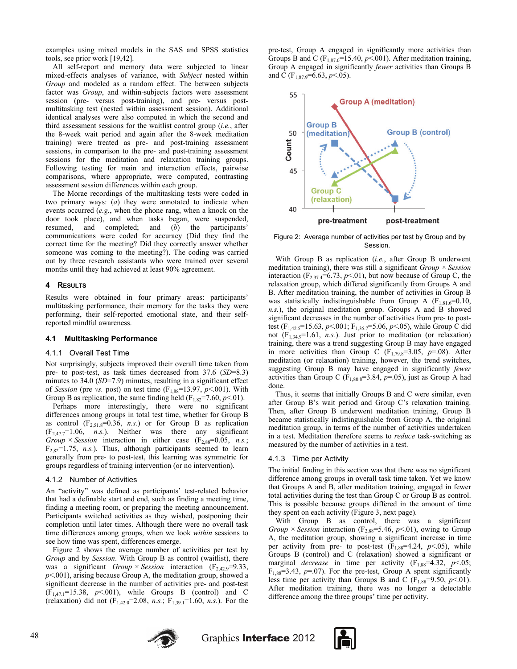examples using mixed models in the SAS and SPSS statistics tools, see prior work [19,42].

All self-report and memory data were subjected to linear mixed-effects analyses of variance, with *Subject* nested within *Group* and modeled as a random effect. The between subjects factor was *Group*, and within-subjects factors were assessment session (pre- versus post-training), and pre- versus postmultitasking test (nested within assessment session). Additional identical analyses were also computed in which the second and third assessment sessions for the waitlist control group (*i.e.*, after the 8-week wait period and again after the 8-week meditation training) were treated as pre- and post-training assessment sessions, in comparison to the pre- and post-training assessment sessions for the meditation and relaxation training groups. Following testing for main and interaction effects, pairwise comparisons, where appropriate, were computed, contrasting assessment session differences within each group.

The Morae recordings of the multitasking tests were coded in two primary ways: (*a*) they were annotated to indicate when events occurred (*e.g.*, when the phone rang, when a knock on the door took place), and when tasks began, were suspended, resumed, and completed; and (*b*) the participants' communications were coded for accuracy (Did they find the correct time for the meeting? Did they correctly answer whether someone was coming to the meeting?). The coding was carried out by three research assistants who were trained over several months until they had achieved at least 90% agreement.

#### **4 RESULTS**

Results were obtained in four primary areas: participants' multitasking performance, their memory for the tasks they were performing, their self-reported emotional state, and their selfreported mindful awareness.

#### **4.1 Multitasking Performance**

#### 4.1.1 Overall Test Time

Not surprisingly, subjects improved their overall time taken from pre- to post-test, as task times decreased from 37.6 (*SD*=8.3) minutes to 34.0 (*SD*=7.9) minutes, resulting in a significant effect of *Session* (pre *vs.* post) on test time  $(F_{1,88}=13.97, p<.001)$ . With Group B as replication, the same finding held  $(F_{1,82}=7.60, p<.01)$ .

Perhaps more interestingly, there were no significant differences among groups in total test time, whether for Group B as control  $(F_{2,51.8}=0.36, n.s.)$  or for Group B as replication  $(F_{2,47.7}=1.06, n.s.)$ . Neither was there any significant *Group*  $\times$  *Session* interaction in either case (F<sub>2,88</sub>=0.05, *n.s.*;  $F_{2,82}=1.75$ , *n.s.*). Thus, although participants seemed to learn generally from pre- to post-test, this learning was symmetric for groups regardless of training intervention (or no intervention).

#### 4.1.2 Number of Activities

An "activity" was defined as participants' test-related behavior that had a definable start and end, such as finding a meeting time, finding a meeting room, or preparing the meeting announcement. Participants switched activities as they wished, postponing their completion until later times. Although there were no overall task time differences among groups, when we look *within* sessions to see how time was spent, differences emerge.

Figure 2 shows the average number of activities per test by *Group* and by *Session*. With Group B as control (waitlist), there was a significant *Group* × *Session* interaction (F<sub>2,42.9</sub>=9.33, *p*<.001), arising because Group A, the meditation group, showed a significant decrease in the number of activities pre- and post-test  $(F_{1,47,1}=15.38, p<.001)$ , while Groups B (control) and C (relaxation) did not  $(F_{1,42.0} = 2.08, n.s.; F_{1,39.1} = 1.60, n.s.).$  For the pre-test, Group A engaged in significantly more activities than Groups B and C ( $F_{1,87.0}$ =15.40,  $p$ <.001). After meditation training, Group A engaged in significantly *fewer* activities than Groups B and C (F<sub>1,87,9</sub>=6.63, *p* < 05).



Figure 2: Average number of activities per test by Group and by Session.

With Group B as replication (*i.e.*, after Group B underwent meditation training), there was still a significant *Group × Session* interaction  $(F_2, B_3, F_2, C_1)$ , but now because of Group C, the relaxation group, which differed significantly from Groups A and B. After meditation training, the number of activities in Group B was statistically indistinguishable from Group A  $(F_{1,81.6}=0.10,$ *n.s.*), the original meditation group. Groups A and B showed significant decreases in the number of activities from pre- to posttest (F1,42.5=15.63, *p*<.001; F1,35.7=5.06, *p*<.05), while Group C did not  $(F_{1,34.9} = 1.61, n.s.)$ . Just prior to meditation (or relaxation) training, there was a trend suggesting Group B may have engaged in more activities than Group C  $(F_{1,79.8}=3.05, p=.08)$ . After meditation (or relaxation) training, however, the trend switches, suggesting Group B may have engaged in significantly *fewer* activities than Group C ( $F_{1,80,8}=3.84$ ,  $p=.05$ ), just as Group A had done.

Thus, it seems that initially Groups B and C were similar, even after Group B's wait period and Group C's relaxation training. Then, after Group B underwent meditation training, Group B became statistically indistinguishable from Group A, the original meditation group, in terms of the number of activities undertaken in a test. Meditation therefore seems to *reduce* task-switching as measured by the number of activities in a test.

#### 4.1.3 Time per Activity

The initial finding in this section was that there was no significant difference among groups in overall task time taken. Yet we know that Groups A and B, after meditation training, engaged in fewer total activities during the test than Group C or Group B as control. This is possible because groups differed in the amount of time they spent on each activity (Figure 3, next page).

With Group B as control, there was a significant *Group* × *Session* interaction ( $F_{2,88}$ =5.46, *p*<.01), owing to Group A, the meditation group, showing a significant increase in time per activity from pre- to post-test  $(F_{1,88}=4.24, p<.05)$ , while Groups B (control) and C (relaxation) showed a significant or marginal *decrease* in time per activity  $(F_{1,88}=4.32, p<.05)$ ;  $F_{1,88}=3.43$ ,  $p=0.07$ ). For the pre-test, Group A spent significantly less time per activity than Groups B and C ( $F_{1,88}$ =9.50, *p*<.01). After meditation training, there was no longer a detectable difference among the three groups' time per activity.



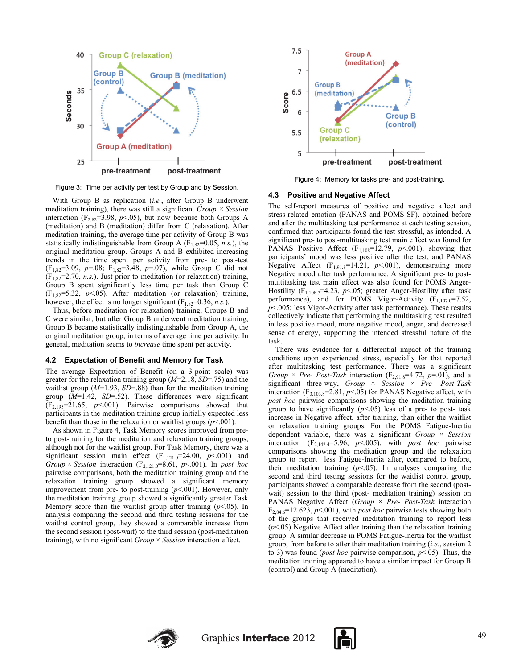

Figure 3: Time per activity per test by Group and by Session.

With Group B as replication (*i.e.*, after Group B underwent meditation training), there was still a significant *Group × Session* interaction ( $F_{2,82}$ =3.98,  $p$ <.05), but now because both Groups A (meditation) and B (meditation) differ from C (relaxation). After meditation training, the average time per activity of Group B was statistically indistinguishable from Group A  $(F_{1,82}=0.05, n.s.)$ , the original meditation group. Groups A and B exhibited increasing trends in the time spent per activity from pre- to post-test (F1,82=3.09, *p*=.08; F1,82=3.48, *p*=.07), while Group C did not  $(F<sub>1,82</sub>=2.70, n.s.)$ . Just prior to meditation (or relaxation) training, Group B spent significantly less time per task than Group C  $(F_{182}=5.32, p<.05)$ . After meditation (or relaxation) training, however, the effect is no longer significant  $(F_{1,82}=0.36, n.s.).$ 

Thus, before meditation (or relaxation) training, Groups B and C were similar, but after Group B underwent meditation training, Group B became statistically indistinguishable from Group A, the original meditation group, in terms of average time per activity. In general, meditation seems to *increase* time spent per activity.

#### **4.2 Expectation of Benefit and Memory for Task**

The average Expectation of Benefit (on a 3-point scale) was greater for the relaxation training group (*M*=2.18, *SD*=.75) and the waitlist group (*M*=1.93, *SD*=.88) than for the meditation training group (*M*=1.42, *SD*=.52). These differences were significant  $(F_{2,195}=21.65, p<0.01)$ . Pairwise comparisons showed that participants in the meditation training group initially expected less benefit than those in the relaxation or waitlist groups (*p*<.001).

As shown in Figure 4, Task Memory scores improved from preto post-training for the meditation and relaxation training groups, although not for the waitlist group. For Task Memory, there was a significant session main effect  $(F_{1,121.0} = 24.00, p \le 001)$  and *Group* × *Session* interaction ( $F_{2,121.0} = 8.61$ ,  $p < .001$ ). In *post hoc* pairwise comparisons, both the meditation training group and the relaxation training group showed a significant memory improvement from pre- to post-training (*p*<.001). However, only the meditation training group showed a significantly greater Task Memory score than the waitlist group after training  $(p<.05)$ . In analysis comparing the second and third testing sessions for the waitlist control group, they showed a comparable increase from the second session (post-wait) to the third session (post-meditation training), with no significant *Group* × *Session* interaction effect.



Figure 4: Memory for tasks pre- and post-training.

#### **4.3 Positive and Negative Affect**

The self-report measures of positive and negative affect and stress-related emotion (PANAS and POMS-SF), obtained before and after the multitasking test performance at each testing session, confirmed that participants found the test stressful, as intended. A significant pre- to post-multitasking test main effect was found for PANAS Positive Affect  $(F_{1,108}=12.79, p<.001)$ , showing that participants' mood was less positive after the test, and PANAS Negative Affect  $(F_{1,91.8}=14.21, p<.001)$ , demonstrating more Negative mood after task performance. A significant pre- to postmultitasking test main effect was also found for POMS Anger-Hostility (F<sub>1,108.7</sub>=4.23, p<.05; greater Anger-Hostility after task performance), and for POMS Vigor-Activity  $(F_{1,107.0} = 7.52)$ , *p*<.005; less Vigor-Activity after task performance). These results collectively indicate that performing the multitasking test resulted in less positive mood, more negative mood, anger, and decreased sense of energy, supporting the intended stressful nature of the task.

There was evidence for a differential impact of the training conditions upon experienced stress, especially for that reported after multitasking test performance. There was a significant *Group*  $\times$  *Pre- Post-Task* interaction (F<sub>2,91.8</sub>=4.72, *p*=.01), and a significant three-way, *Group* × *Session* × *Pre- Post-Task*  interaction  $(F_{3,103.8} = 2.81, p < .05)$  for PANAS Negative affect, with *post hoc* pairwise comparisons showing the meditation training group to have significantly  $(p<0.05)$  less of a pre- to post- task increase in Negative affect, after training, than either the waitlist or relaxation training groups. For the POMS Fatigue-Inertia dependent variable, there was a significant *Group* × *Session* interaction  $(F_{2,142.4} = 5.96, p < .005)$ , with *post hoc* pairwise comparisons showing the meditation group and the relaxation group to report less Fatigue-Inertia after, compared to before, their meditation training  $(p<.05)$ . In analyses comparing the second and third testing sessions for the waitlist control group, participants showed a comparable decrease from the second (postwait) session to the third (post- meditation training) session on PANAS Negative Affect (*Group* × *Pre- Post-Task* interaction  $F_{2,84.6}$ =12.623, *p*<.001), with *post hoc* pairwise tests showing both of the groups that received meditation training to report less  $(p<.05)$  Negative Affect after training than the relaxation training group. A similar decrease in POMS Fatigue-Inertia for the waitlist group, from before to after their meditation training (*i.e.*, session 2 to 3) was found (*post hoc* pairwise comparison, *p*<.05). Thus, the meditation training appeared to have a similar impact for Group B (control) and Group A (meditation).



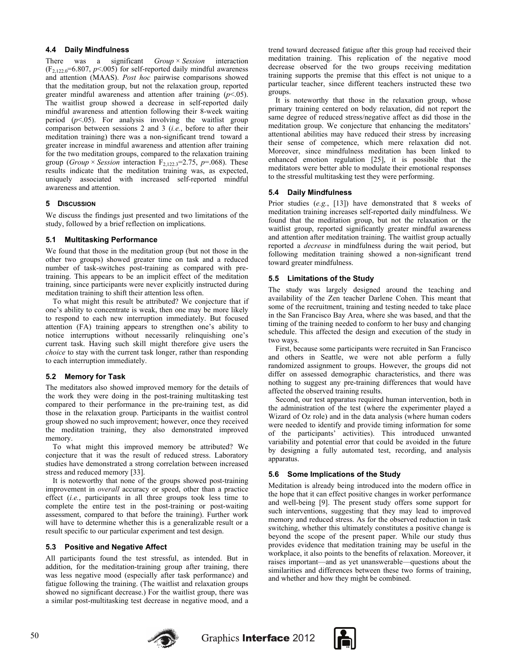## **4.4 Daily Mindfulness**

There was a significant *Group* × *Session* interaction  $(F_{2,122.0} = 6.807, p < .005)$  for self-reported daily mindful awareness and attention (MAAS). *Post hoc* pairwise comparisons showed that the meditation group, but not the relaxation group, reported greater mindful awareness and attention after training  $(p<0.05)$ . The waitlist group showed a decrease in self-reported daily mindful awareness and attention following their 8-week waiting period  $(p<.05)$ . For analysis involving the waitlist group comparison between sessions 2 and 3 (*i.e.*, before to after their meditation training) there was a non-significant trend toward a greater increase in mindful awareness and attention after training for the two meditation groups, compared to the relaxation training group (*Group* × *Session* interaction  $F_{2,122,3} = 2.75$ ,  $p = .068$ ). These results indicate that the meditation training was, as expected, uniquely associated with increased self-reported mindful awareness and attention.

## **5 DISCUSSION**

We discuss the findings just presented and two limitations of the study, followed by a brief reflection on implications.

## **5.1 Multitasking Performance**

We found that those in the meditation group (but not those in the other two groups) showed greater time on task and a reduced number of task-switches post-training as compared with pretraining. This appears to be an implicit effect of the meditation training, since participants were never explicitly instructed during meditation training to shift their attention less often.

To what might this result be attributed? We conjecture that if one's ability to concentrate is weak, then one may be more likely to respond to each new interruption immediately. But focused attention (FA) training appears to strengthen one's ability to notice interruptions without necessarily relinquishing one's current task. Having such skill might therefore give users the *choice* to stay with the current task longer, rather than responding to each interruption immediately.

# **5.2 Memory for Task**

The meditators also showed improved memory for the details of the work they were doing in the post-training multitasking test compared to their performance in the pre-training test, as did those in the relaxation group. Participants in the waitlist control group showed no such improvement; however, once they received the meditation training, they also demonstrated improved memory.

To what might this improved memory be attributed? We conjecture that it was the result of reduced stress. Laboratory studies have demonstrated a strong correlation between increased stress and reduced memory [33].

It is noteworthy that none of the groups showed post-training improvement in *overall* accuracy or speed, other than a practice effect  $(i.e.,$  participants in all three groups took less time to complete the entire test in the post-training or post-waiting assessment, compared to that before the training). Further work will have to determine whether this is a generalizable result or a result specific to our particular experiment and test design.

#### **5.3 Positive and Negative Affect**

All participants found the test stressful, as intended. But in addition, for the meditation-training group after training, there was less negative mood (especially after task performance) and fatigue following the training. (The waitlist and relaxation groups showed no significant decrease.) For the waitlist group, there was a similar post-multitasking test decrease in negative mood, and a

trend toward decreased fatigue after this group had received their meditation training. This replication of the negative mood decrease observed for the two groups receiving meditation training supports the premise that this effect is not unique to a particular teacher, since different teachers instructed these two groups.

It is noteworthy that those in the relaxation group, whose primary training centered on body relaxation, did not report the same degree of reduced stress/negative affect as did those in the meditation group. We conjecture that enhancing the meditators' attentional abilities may have reduced their stress by increasing their sense of competence, which mere relaxation did not. Moreover, since mindfulness meditation has been linked to enhanced emotion regulation [25], it is possible that the meditators were better able to modulate their emotional responses to the stressful multitasking test they were performing.

## **5.4 Daily Mindfulness**

Prior studies (*e.g.*, [13]) have demonstrated that 8 weeks of meditation training increases self-reported daily mindfulness. We found that the meditation group, but not the relaxation or the waitlist group, reported significantly greater mindful awareness and attention after meditation training. The waitlist group actually reported a *decrease* in mindfulness during the wait period, but following meditation training showed a non-significant trend toward greater mindfulness.

## **5.5 Limitations of the Study**

The study was largely designed around the teaching and availability of the Zen teacher Darlene Cohen. This meant that some of the recruitment, training and testing needed to take place in the San Francisco Bay Area, where she was based, and that the timing of the training needed to conform to her busy and changing schedule. This affected the design and execution of the study in two ways.

First, because some participants were recruited in San Francisco and others in Seattle, we were not able perform a fully randomized assignment to groups. However, the groups did not differ on assessed demographic characteristics, and there was nothing to suggest any pre-training differences that would have affected the observed training results.

Second, our test apparatus required human intervention, both in the administration of the test (where the experimenter played a Wizard of Oz role) and in the data analysis (where human coders were needed to identify and provide timing information for some of the participants' activities). This introduced unwanted variability and potential error that could be avoided in the future by designing a fully automated test, recording, and analysis apparatus.

# **5.6 Some Implications of the Study**

Meditation is already being introduced into the modern office in the hope that it can effect positive changes in worker performance and well-being [9]. The present study offers some support for such interventions, suggesting that they may lead to improved memory and reduced stress. As for the observed reduction in task switching, whether this ultimately constitutes a positive change is beyond the scope of the present paper. While our study thus provides evidence that meditation training may be useful in the workplace, it also points to the benefits of relaxation. Moreover, it raises important—and as yet unanswerable—questions about the similarities and differences between these two forms of training, and whether and how they might be combined.



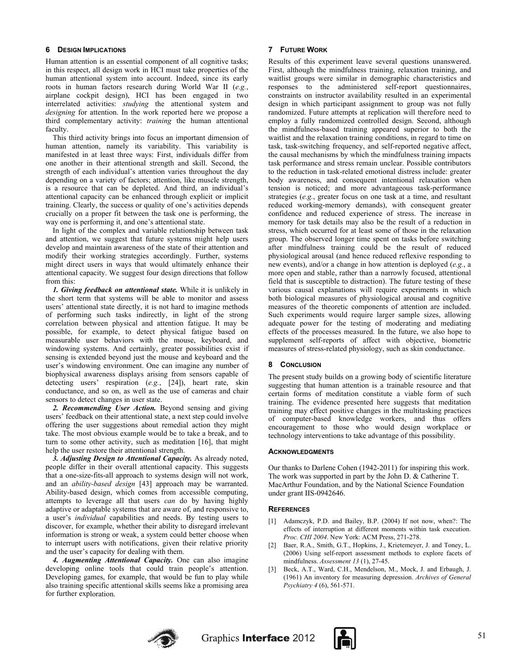#### **6 DESIGN IMPLICATIONS**

Human attention is an essential component of all cognitive tasks; in this respect, all design work in HCI must take properties of the human attentional system into account. Indeed, since its early roots in human factors research during World War II (*e.g.*, airplane cockpit design), HCI has been engaged in two interrelated activities: *studying* the attentional system and *designing* for attention. In the work reported here we propose a third complementary activity: *training* the human attentional faculty.

This third activity brings into focus an important dimension of human attention, namely its variability. This variability is manifested in at least three ways: First, individuals differ from one another in their attentional strength and skill. Second, the strength of each individual's attention varies throughout the day depending on a variety of factors; attention, like muscle strength, is a resource that can be depleted. And third, an individual's attentional capacity can be enhanced through explicit or implicit training. Clearly, the success or quality of one's activities depends crucially on a proper fit between the task one is performing, the way one is performing it, and one's attentional state.

In light of the complex and variable relationship between task and attention, we suggest that future systems might help users develop and maintain awareness of the state of their attention and modify their working strategies accordingly. Further, systems might direct users in ways that would ultimately enhance their attentional capacity. We suggest four design directions that follow from this:

*1. Giving feedback on attentional state.* While it is unlikely in the short term that systems will be able to monitor and assess users' attentional state directly, it is not hard to imagine methods of performing such tasks indirectly, in light of the strong correlation between physical and attention fatigue. It may be possible, for example, to detect physical fatigue based on measurable user behaviors with the mouse, keyboard, and windowing systems. And certainly, greater possibilities exist if sensing is extended beyond just the mouse and keyboard and the user's windowing environment. One can imagine any number of biophysical awareness displays arising from sensors capable of detecting users' respiration (*e.g.*, [24]), heart rate, skin conductance, and so on, as well as the use of cameras and chair sensors to detect changes in user state.

*2. Recommending User Action.* Beyond sensing and giving users' feedback on their attentional state, a next step could involve offering the user suggestions about remedial action they might take. The most obvious example would be to take a break, and to turn to some other activity, such as meditation [16], that might help the user restore their attentional strength.

*3. Adjusting Design to Attentional Capacity.* As already noted, people differ in their overall attentional capacity. This suggests that a one-size-fits-all approach to systems design will not work, and an *ability-based design* [43] approach may be warranted. Ability-based design, which comes from accessible computing, attempts to leverage all that users *can* do by having highly adaptive or adaptable systems that are aware of, and responsive to, a user's *individual* capabilities and needs. By testing users to discover, for example, whether their ability to disregard irrelevant information is strong or weak, a system could better choose when to interrupt users with notifications, given their relative priority and the user's capacity for dealing with them.

*4. Augmenting Attentional Capacity.* One can also imagine developing online tools that could train people's attention. Developing games, for example, that would be fun to play while also training specific attentional skills seems like a promising area for further exploration.

# **7 FUTURE WORK**

Results of this experiment leave several questions unanswered. First, although the mindfulness training, relaxation training, and waitlist groups were similar in demographic characteristics and responses to the administered self-report questionnaires, constraints on instructor availability resulted in an experimental design in which participant assignment to group was not fully randomized. Future attempts at replication will therefore need to employ a fully randomized controlled design. Second, although the mindfulness-based training appeared superior to both the waitlist and the relaxation training conditions, in regard to time on task, task-switching frequency, and self-reported negative affect, the causal mechanisms by which the mindfulness training impacts task performance and stress remain unclear. Possible contributors to the reduction in task-related emotional distress include: greater body awareness, and consequent intentional relaxation when tension is noticed; and more advantageous task-performance strategies (*e.g.*, greater focus on one task at a time, and resultant reduced working-memory demands), with consequent greater confidence and reduced experience of stress. The increase in memory for task details may also be the result of a reduction in stress, which occurred for at least some of those in the relaxation group. The observed longer time spent on tasks before switching after mindfulness training could be the result of reduced physiological arousal (and hence reduced reflexive responding to new events), and/or a change in how attention is deployed (*e.g.*, a more open and stable, rather than a narrowly focused, attentional field that is susceptible to distraction). The future testing of these various causal explanations will require experiments in which both biological measures of physiological arousal and cognitive measures of the theoretic components of attention are included. Such experiments would require larger sample sizes, allowing adequate power for the testing of moderating and mediating effects of the processes measured. In the future, we also hope to supplement self-reports of affect with objective, biometric measures of stress-related physiology, such as skin conductance.

# **8 CONCLUSION**

The present study builds on a growing body of scientific literature suggesting that human attention is a trainable resource and that certain forms of meditation constitute a viable form of such training. The evidence presented here suggests that meditation training may effect positive changes in the multitasking practices of computer-based knowledge workers, and thus offers encouragement to those who would design workplace or technology interventions to take advantage of this possibility.

#### **ACKNOWLEDGMENTS**

Our thanks to Darlene Cohen (1942-2011) for inspiring this work. The work was supported in part by the John D. & Catherine T. MacArthur Foundation, and by the National Science Foundation under grant IIS-0942646.

#### **REFERENCES**

- [1] Adamczyk, P.D. and Bailey, B.P. (2004) If not now, when?: The effects of interruption at different moments within task execution. *Proc. CHI 2004*. New York: ACM Press, 271-278.
- [2] Baer, R.A., Smith, G.T., Hopkins, J., Krietemeyer, J. and Toney, L. (2006) Using self-report assessment methods to explore facets of mindfulness. *Assessment 13* (1), 27-45.
- [3] Beck, A.T., Ward, C.H., Mendelson, M., Mock, J. and Erbaugh, J. (1961) An inventory for measuring depression. *Archives of General Psychiatry 4* (6), 561-571.